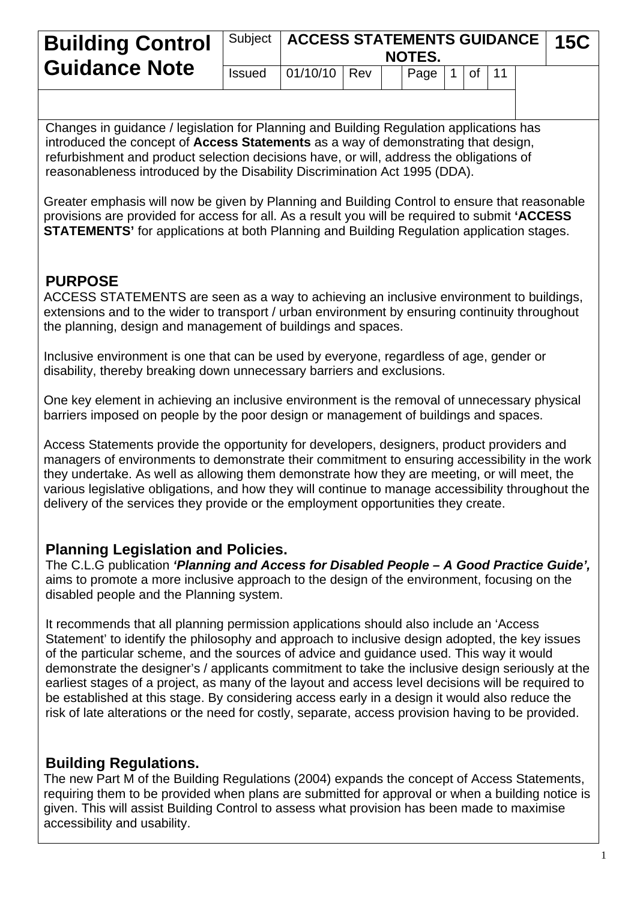| <b>Building Control</b> |               | Subject   ACCESS STATEMENTS GUIDANCE   15C |  | NOTES.         |               |  |  |
|-------------------------|---------------|--------------------------------------------|--|----------------|---------------|--|--|
| <b>Guidance Note</b>    | <b>Issued</b> | $01/10/10$ Rev                             |  | $ $ Page $ $ 1 | $ $ of $ $ 11 |  |  |

Changes in guidance / legislation for Planning and Building Regulation applications has introduced the concept of **Access Statements** as a way of demonstrating that design, refurbishment and product selection decisions have, or will, address the obligations of reasonableness introduced by the Disability Discrimination Act 1995 (DDA).

Greater emphasis will now be given by Planning and Building Control to ensure that reasonable provisions are provided for access for all. As a result you will be required to submit **'ACCESS STATEMENTS'** for applications at both Planning and Building Regulation application stages.

## **PURPOSE**

ACCESS STATEMENTS are seen as a way to achieving an inclusive environment to buildings, extensions and to the wider to transport / urban environment by ensuring continuity throughout the planning, design and management of buildings and spaces.

Inclusive environment is one that can be used by everyone, regardless of age, gender or disability, thereby breaking down unnecessary barriers and exclusions.

One key element in achieving an inclusive environment is the removal of unnecessary physical barriers imposed on people by the poor design or management of buildings and spaces.

Access Statements provide the opportunity for developers, designers, product providers and managers of environments to demonstrate their commitment to ensuring accessibility in the work they undertake. As well as allowing them demonstrate how they are meeting, or will meet, the various legislative obligations, and how they will continue to manage accessibility throughout the delivery of the services they provide or the employment opportunities they create.

#### **Planning Legislation and Policies.**

The C.L.G publication *'Planning and Access for Disabled People – A Good Practice Guide',* aims to promote a more inclusive approach to the design of the environment, focusing on the disabled people and the Planning system.

It recommends that all planning permission applications should also include an 'Access Statement' to identify the philosophy and approach to inclusive design adopted, the key issues of the particular scheme, and the sources of advice and guidance used. This way it would demonstrate the designer's / applicants commitment to take the inclusive design seriously at the earliest stages of a project, as many of the layout and access level decisions will be required to be established at this stage. By considering access early in a design it would also reduce the risk of late alterations or the need for costly, separate, access provision having to be provided.

## **Building Regulations.**

The new Part M of the Building Regulations (2004) expands the concept of Access Statements, requiring them to be provided when plans are submitted for approval or when a building notice is given. This will assist Building Control to assess what provision has been made to maximise accessibility and usability.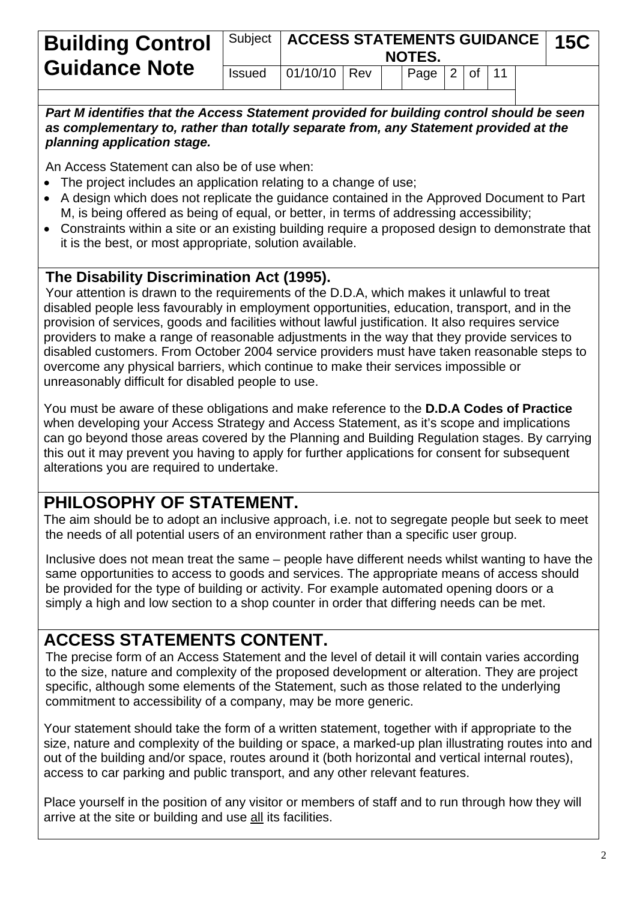| <b>Building Control</b> |               | Subject   ACCESS STATEMENTS GUIDANCE   15C |  | NOTES.         |  |  |  |
|-------------------------|---------------|--------------------------------------------|--|----------------|--|--|--|
| <b>Guidance Note</b>    | <b>Issued</b> | $ 01/10/10 $ Rev                           |  | Page $2$ of 11 |  |  |  |

*Part M identifies that the Access Statement provided for building control should be seen as complementary to, rather than totally separate from, any Statement provided at the planning application stage.*

An Access Statement can also be of use when:

- The project includes an application relating to a change of use:
- A design which does not replicate the guidance contained in the Approved Document to Part M, is being offered as being of equal, or better, in terms of addressing accessibility;
- Constraints within a site or an existing building require a proposed design to demonstrate that it is the best, or most appropriate, solution available.

## **The Disability Discrimination Act (1995).**

Your attention is drawn to the requirements of the D.D.A, which makes it unlawful to treat disabled people less favourably in employment opportunities, education, transport, and in the provision of services, goods and facilities without lawful justification. It also requires service providers to make a range of reasonable adjustments in the way that they provide services to disabled customers. From October 2004 service providers must have taken reasonable steps to overcome any physical barriers, which continue to make their services impossible or unreasonably difficult for disabled people to use.

You must be aware of these obligations and make reference to the **D.D.A Codes of Practice** when developing your Access Strategy and Access Statement, as it's scope and implications can go beyond those areas covered by the Planning and Building Regulation stages. By carrying this out it may prevent you having to apply for further applications for consent for subsequent alterations you are required to undertake.

## **PHILOSOPHY OF STATEMENT.**

The aim should be to adopt an inclusive approach, i.e. not to segregate people but seek to meet the needs of all potential users of an environment rather than a specific user group.

Inclusive does not mean treat the same – people have different needs whilst wanting to have the same opportunities to access to goods and services. The appropriate means of access should be provided for the type of building or activity. For example automated opening doors or a simply a high and low section to a shop counter in order that differing needs can be met.

## **ACCESS STATEMENTS CONTENT.**

The precise form of an Access Statement and the level of detail it will contain varies according to the size, nature and complexity of the proposed development or alteration. They are project specific, although some elements of the Statement, such as those related to the underlying commitment to accessibility of a company, may be more generic.

Your statement should take the form of a written statement, together with if appropriate to the size, nature and complexity of the building or space, a marked-up plan illustrating routes into and out of the building and/or space, routes around it (both horizontal and vertical internal routes), access to car parking and public transport, and any other relevant features.

Place yourself in the position of any visitor or members of staff and to run through how they will arrive at the site or building and use all its facilities.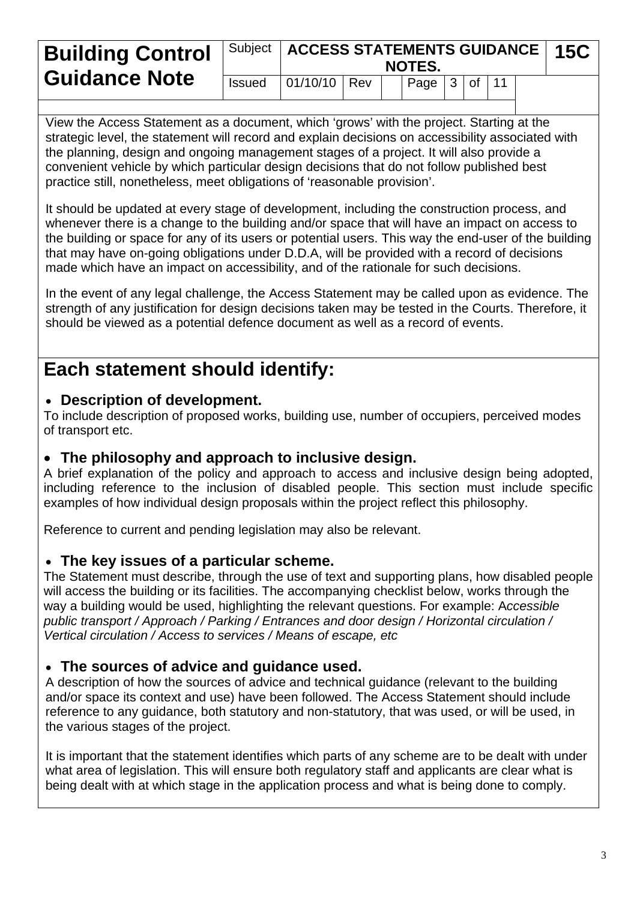| <b>Building Control</b> | Subject   ACCESS STATEMENTS GUIDANCE   15C<br><b>NOTES.</b> |                  |  |  |                          |  |  |  |  |  |
|-------------------------|-------------------------------------------------------------|------------------|--|--|--------------------------|--|--|--|--|--|
| <b>Guidance Note</b>    | <b>Issued</b>                                               | $ 01/10/10 $ Rev |  |  | $ $ Page $ 3 $ of $ 11 $ |  |  |  |  |  |

View the Access Statement as a document, which 'grows' with the project. Starting at the strategic level, the statement will record and explain decisions on accessibility associated with the planning, design and ongoing management stages of a project. It will also provide a convenient vehicle by which particular design decisions that do not follow published best practice still, nonetheless, meet obligations of 'reasonable provision'.

It should be updated at every stage of development, including the construction process, and whenever there is a change to the building and/or space that will have an impact on access to the building or space for any of its users or potential users. This way the end-user of the building that may have on-going obligations under D.D.A, will be provided with a record of decisions made which have an impact on accessibility, and of the rationale for such decisions.

In the event of any legal challenge, the Access Statement may be called upon as evidence. The strength of any justification for design decisions taken may be tested in the Courts. Therefore, it should be viewed as a potential defence document as well as a record of events.

# **Each statement should identify:**

#### **Description of development.**

To include description of proposed works, building use, number of occupiers, perceived modes of transport etc.

#### **The philosophy and approach to inclusive design.**

A brief explanation of the policy and approach to access and inclusive design being adopted, including reference to the inclusion of disabled people. This section must include specific examples of how individual design proposals within the project reflect this philosophy.

Reference to current and pending legislation may also be relevant.

#### **The key issues of a particular scheme.**

The Statement must describe, through the use of text and supporting plans, how disabled people will access the building or its facilities. The accompanying checklist below, works through the way a building would be used, highlighting the relevant questions. For example: A*ccessible public transport / Approach / Parking / Entrances and door design / Horizontal circulation / Vertical circulation / Access to services / Means of escape, etc* 

## **The sources of advice and guidance used.**

A description of how the sources of advice and technical guidance (relevant to the building and/or space its context and use) have been followed. The Access Statement should include reference to any guidance, both statutory and non-statutory, that was used, or will be used, in the various stages of the project.

It is important that the statement identifies which parts of any scheme are to be dealt with under what area of legislation. This will ensure both regulatory staff and applicants are clear what is being dealt with at which stage in the application process and what is being done to comply.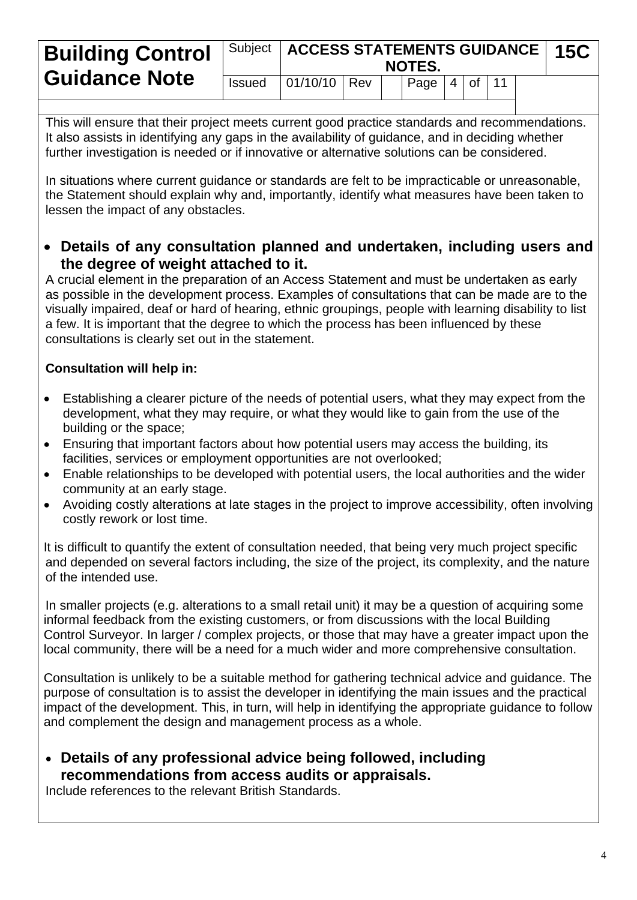| <b>Building Control</b> |               | Subject   ACCESS STATEMENTS GUIDANCE   15C |  | NOTES.                   |  |  |  |
|-------------------------|---------------|--------------------------------------------|--|--------------------------|--|--|--|
| <b>Guidance Note</b>    | <b>Issued</b> | 01/10/10   Rev                             |  | $ $ Page $ 4 $ of $ 11 $ |  |  |  |

This will ensure that their project meets current good practice standards and recommendations. It also assists in identifying any gaps in the availability of guidance, and in deciding whether further investigation is needed or if innovative or alternative solutions can be considered.

In situations where current guidance or standards are felt to be impracticable or unreasonable, the Statement should explain why and, importantly, identify what measures have been taken to lessen the impact of any obstacles.

 **Details of any consultation planned and undertaken, including users and the degree of weight attached to it.** 

A crucial element in the preparation of an Access Statement and must be undertaken as early as possible in the development process. Examples of consultations that can be made are to the visually impaired, deaf or hard of hearing, ethnic groupings, people with learning disability to list a few. It is important that the degree to which the process has been influenced by these consultations is clearly set out in the statement.

#### **Consultation will help in:**

- Establishing a clearer picture of the needs of potential users, what they may expect from the development, what they may require, or what they would like to gain from the use of the building or the space;
- Ensuring that important factors about how potential users may access the building, its facilities, services or employment opportunities are not overlooked;
- Enable relationships to be developed with potential users, the local authorities and the wider community at an early stage.
- Avoiding costly alterations at late stages in the project to improve accessibility, often involving costly rework or lost time.

It is difficult to quantify the extent of consultation needed, that being very much project specific and depended on several factors including, the size of the project, its complexity, and the nature of the intended use.

In smaller projects (e.g. alterations to a small retail unit) it may be a question of acquiring some informal feedback from the existing customers, or from discussions with the local Building Control Surveyor. In larger / complex projects, or those that may have a greater impact upon the local community, there will be a need for a much wider and more comprehensive consultation.

Consultation is unlikely to be a suitable method for gathering technical advice and guidance. The purpose of consultation is to assist the developer in identifying the main issues and the practical impact of the development. This, in turn, will help in identifying the appropriate guidance to follow and complement the design and management process as a whole.

 **Details of any professional advice being followed, including recommendations from access audits or appraisals.**

Include references to the relevant British Standards.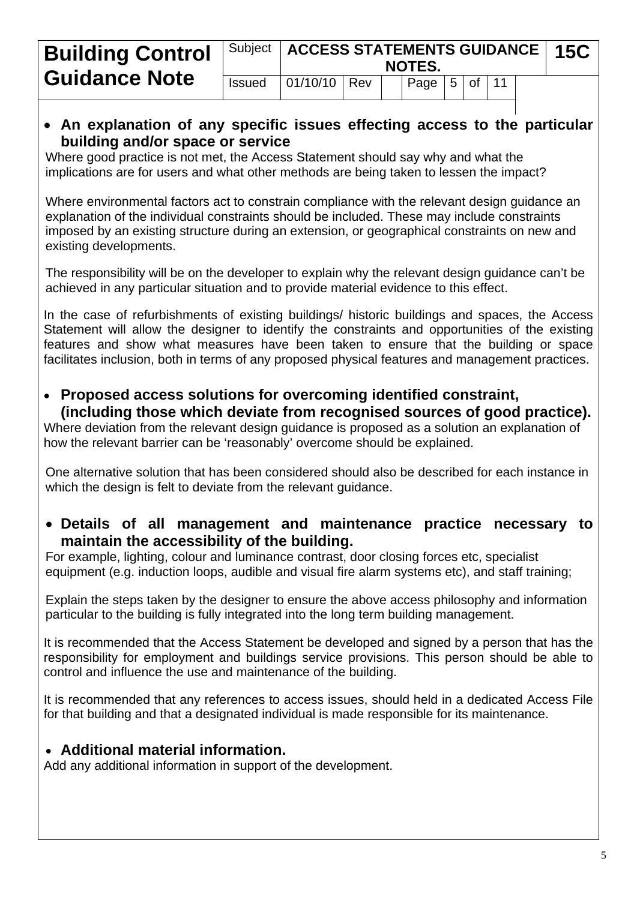| <b>Building Control</b> |               | Subject   ACCESS STATEMENTS GUIDANCE   15C |  | <b>NOTES.</b>            |  |  |  |
|-------------------------|---------------|--------------------------------------------|--|--------------------------|--|--|--|
| <b>Guidance Note</b>    | <b>Issued</b> | $ 01/10/10 $ Rev                           |  | $ $ Page $ 5 $ of $ 11 $ |  |  |  |

#### **An explanation of any specific issues effecting access to the particular building and/or space or service**

Where good practice is not met, the Access Statement should say why and what the implications are for users and what other methods are being taken to lessen the impact?

Where environmental factors act to constrain compliance with the relevant design guidance an explanation of the individual constraints should be included. These may include constraints imposed by an existing structure during an extension, or geographical constraints on new and existing developments.

The responsibility will be on the developer to explain why the relevant design guidance can't be achieved in any particular situation and to provide material evidence to this effect.

In the case of refurbishments of existing buildings/ historic buildings and spaces, the Access Statement will allow the designer to identify the constraints and opportunities of the existing features and show what measures have been taken to ensure that the building or space facilitates inclusion, both in terms of any proposed physical features and management practices.

 **Proposed access solutions for overcoming identified constraint, (including those which deviate from recognised sources of good practice).**

Where deviation from the relevant design guidance is proposed as a solution an explanation of how the relevant barrier can be 'reasonably' overcome should be explained.

One alternative solution that has been considered should also be described for each instance in which the design is felt to deviate from the relevant guidance.

 **Details of all management and maintenance practice necessary to maintain the accessibility of the building.** 

For example, lighting, colour and luminance contrast, door closing forces etc, specialist equipment (e.g. induction loops, audible and visual fire alarm systems etc), and staff training;

Explain the steps taken by the designer to ensure the above access philosophy and information particular to the building is fully integrated into the long term building management.

It is recommended that the Access Statement be developed and signed by a person that has the responsibility for employment and buildings service provisions. This person should be able to control and influence the use and maintenance of the building.

It is recommended that any references to access issues, should held in a dedicated Access File for that building and that a designated individual is made responsible for its maintenance.

#### **Additional material information.**

Add any additional information in support of the development.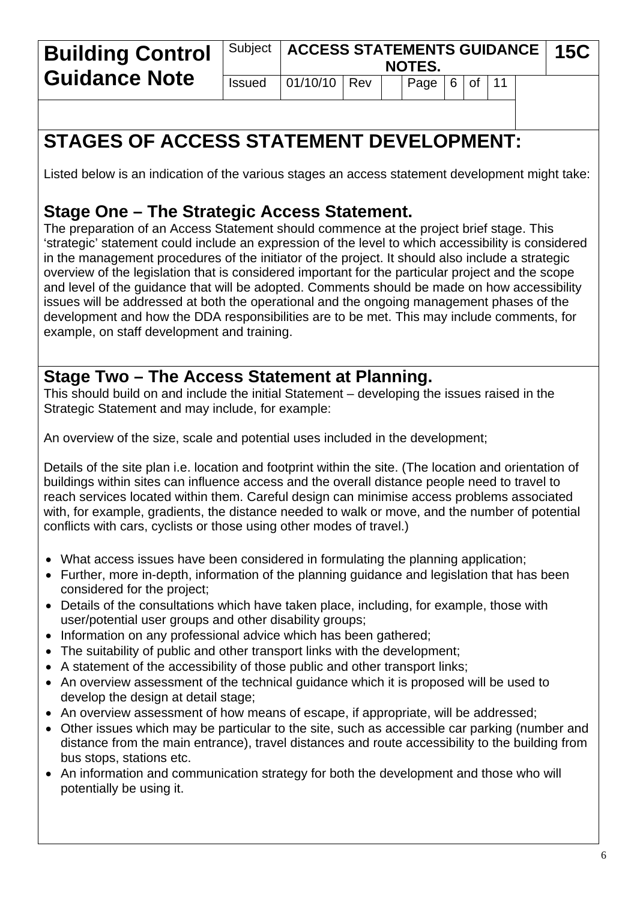| <b>Building Control</b> | Subject   ACCESS STATEMENTS GUIDANCE | <b>15C</b>   |  |  |                                              |  |  |  |  |  |
|-------------------------|--------------------------------------|--------------|--|--|----------------------------------------------|--|--|--|--|--|
| <b>Guidance Note</b>    | <b>Issued</b>                        | 01/10/10 Rev |  |  | $\vert$ Page $\vert$ 6 $\vert$ of $\vert$ 11 |  |  |  |  |  |

# **STAGES OF ACCESS STATEMENT DEVELOPMENT:**

Listed below is an indication of the various stages an access statement development might take:

## **Stage One – The Strategic Access Statement.**

The preparation of an Access Statement should commence at the project brief stage. This 'strategic' statement could include an expression of the level to which accessibility is considered in the management procedures of the initiator of the project. It should also include a strategic overview of the legislation that is considered important for the particular project and the scope and level of the guidance that will be adopted. Comments should be made on how accessibility issues will be addressed at both the operational and the ongoing management phases of the development and how the DDA responsibilities are to be met. This may include comments, for example, on staff development and training.

## **Stage Two – The Access Statement at Planning.**

This should build on and include the initial Statement – developing the issues raised in the Strategic Statement and may include, for example:

An overview of the size, scale and potential uses included in the development;

Details of the site plan i.e. location and footprint within the site. (The location and orientation of buildings within sites can influence access and the overall distance people need to travel to reach services located within them. Careful design can minimise access problems associated with, for example, gradients, the distance needed to walk or move, and the number of potential conflicts with cars, cyclists or those using other modes of travel.)

- What access issues have been considered in formulating the planning application;
- Further, more in-depth, information of the planning guidance and legislation that has been considered for the project;
- Details of the consultations which have taken place, including, for example, those with user/potential user groups and other disability groups;
- Information on any professional advice which has been gathered;
- The suitability of public and other transport links with the development;
- A statement of the accessibility of those public and other transport links;
- An overview assessment of the technical guidance which it is proposed will be used to develop the design at detail stage;
- An overview assessment of how means of escape, if appropriate, will be addressed;
- Other issues which may be particular to the site, such as accessible car parking (number and distance from the main entrance), travel distances and route accessibility to the building from bus stops, stations etc.
- An information and communication strategy for both the development and those who will potentially be using it.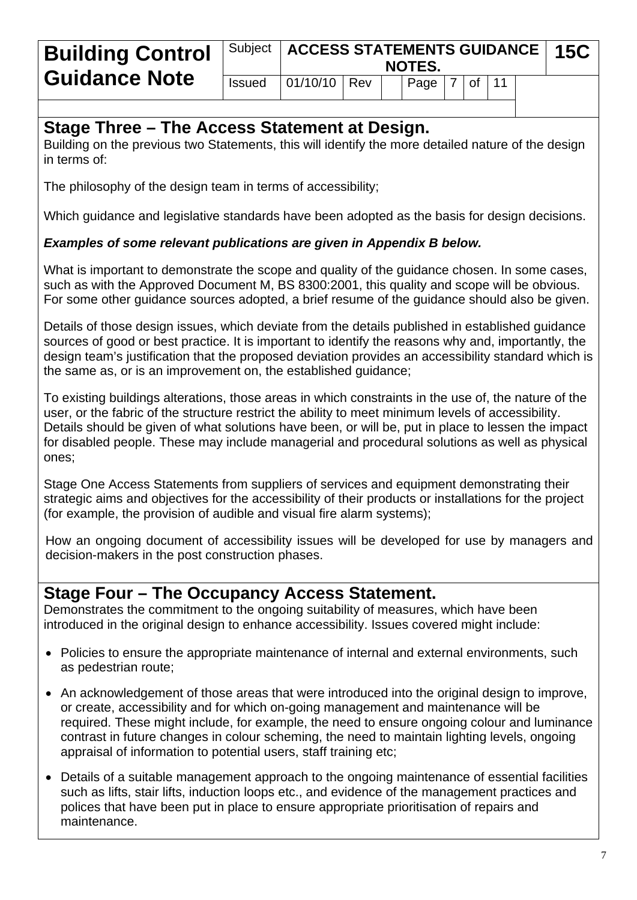| <b>Building Control</b> | Subject   ACCESS STATEMENTS GUIDANCE   15C<br><b>NOTES.</b> |                |  |  |                          |  |  |  |  |  |
|-------------------------|-------------------------------------------------------------|----------------|--|--|--------------------------|--|--|--|--|--|
| <b>Guidance Note</b>    | <b>Issued</b>                                               | $01/10/10$ Rev |  |  | $ $ Page $ 7 $ of $ 11 $ |  |  |  |  |  |

#### **Stage Three – The Access Statement at Design.**

Building on the previous two Statements, this will identify the more detailed nature of the design in terms of:

The philosophy of the design team in terms of accessibility;

Which guidance and legislative standards have been adopted as the basis for design decisions.

#### *Examples of some relevant publications are given in Appendix B below.*

What is important to demonstrate the scope and quality of the guidance chosen. In some cases, such as with the Approved Document M, BS 8300:2001, this quality and scope will be obvious. For some other guidance sources adopted, a brief resume of the guidance should also be given.

Details of those design issues, which deviate from the details published in established guidance sources of good or best practice. It is important to identify the reasons why and, importantly, the design team's justification that the proposed deviation provides an accessibility standard which is the same as, or is an improvement on, the established guidance;

To existing buildings alterations, those areas in which constraints in the use of, the nature of the user, or the fabric of the structure restrict the ability to meet minimum levels of accessibility. Details should be given of what solutions have been, or will be, put in place to lessen the impact for disabled people. These may include managerial and procedural solutions as well as physical ones;

Stage One Access Statements from suppliers of services and equipment demonstrating their strategic aims and objectives for the accessibility of their products or installations for the project (for example, the provision of audible and visual fire alarm systems);

How an ongoing document of accessibility issues will be developed for use by managers and decision-makers in the post construction phases.

## **Stage Four – The Occupancy Access Statement.**

Demonstrates the commitment to the ongoing suitability of measures, which have been introduced in the original design to enhance accessibility. Issues covered might include:

- Policies to ensure the appropriate maintenance of internal and external environments, such as pedestrian route;
- An acknowledgement of those areas that were introduced into the original design to improve, or create, accessibility and for which on-going management and maintenance will be required. These might include, for example, the need to ensure ongoing colour and luminance contrast in future changes in colour scheming, the need to maintain lighting levels, ongoing appraisal of information to potential users, staff training etc;
- Details of a suitable management approach to the ongoing maintenance of essential facilities such as lifts, stair lifts, induction loops etc., and evidence of the management practices and polices that have been put in place to ensure appropriate prioritisation of repairs and maintenance.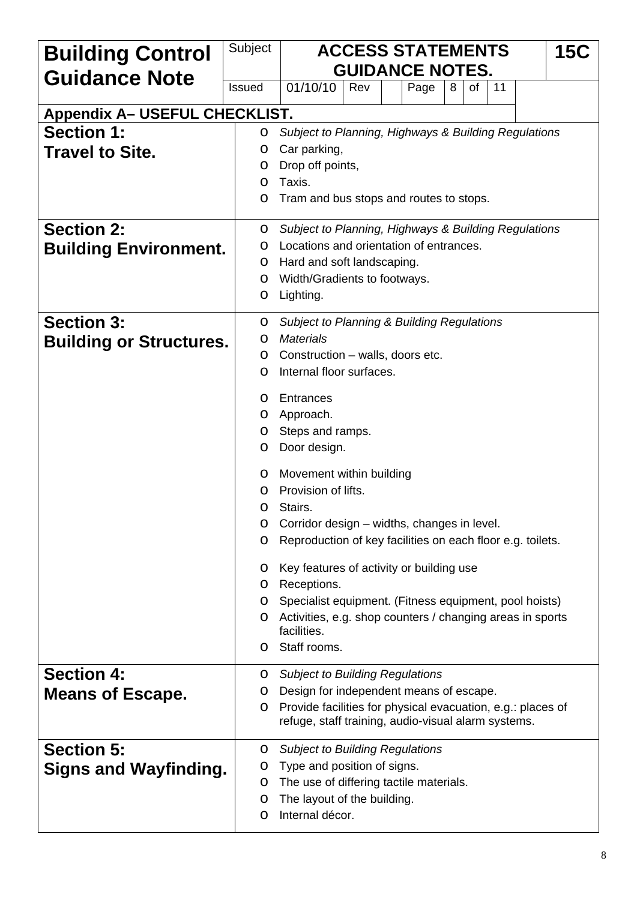| <b>Building Control</b>              | Subject       | <b>ACCESS STATEMENTS</b><br><b>15C</b><br><b>GUIDANCE NOTES.</b>                                                    |
|--------------------------------------|---------------|---------------------------------------------------------------------------------------------------------------------|
| <b>Guidance Note</b>                 | <b>Issued</b> | 01/10/10<br>Rev<br>Page<br>0f<br>11<br>8                                                                            |
| <b>Appendix A- USEFUL CHECKLIST.</b> |               |                                                                                                                     |
| <b>Section 1:</b>                    | O             | Subject to Planning, Highways & Building Regulations                                                                |
| <b>Travel to Site.</b>               | O             | Car parking,                                                                                                        |
|                                      | O             | Drop off points,                                                                                                    |
|                                      | O             | Taxis.                                                                                                              |
|                                      | O             | Tram and bus stops and routes to stops.                                                                             |
| <b>Section 2:</b>                    | O             | Subject to Planning, Highways & Building Regulations                                                                |
| <b>Building Environment.</b>         | O             | Locations and orientation of entrances.                                                                             |
|                                      | O             | Hard and soft landscaping.                                                                                          |
|                                      | O<br>O        | Width/Gradients to footways.<br>Lighting.                                                                           |
|                                      |               |                                                                                                                     |
| <b>Section 3:</b>                    | O             | <b>Subject to Planning &amp; Building Regulations</b>                                                               |
| <b>Building or Structures.</b>       | O<br>O        | <b>Materials</b><br>Construction – walls, doors etc.                                                                |
|                                      | O             | Internal floor surfaces.                                                                                            |
|                                      |               |                                                                                                                     |
|                                      | O<br>O        | Entrances<br>Approach.                                                                                              |
|                                      | O             | Steps and ramps.                                                                                                    |
|                                      | O             | Door design.                                                                                                        |
|                                      | O             | Movement within building                                                                                            |
|                                      | O             | Provision of lifts.                                                                                                 |
|                                      | o             | Stairs.                                                                                                             |
|                                      | O             | Corridor design – widths, changes in level.                                                                         |
|                                      | O             | Reproduction of key facilities on each floor e.g. toilets.                                                          |
|                                      | O             | Key features of activity or building use                                                                            |
|                                      | O             | Receptions.                                                                                                         |
|                                      | O<br>O        | Specialist equipment. (Fitness equipment, pool hoists)<br>Activities, e.g. shop counters / changing areas in sports |
|                                      |               | facilities.                                                                                                         |
|                                      | O             | Staff rooms.                                                                                                        |
| <b>Section 4:</b>                    | 0             | <b>Subject to Building Regulations</b>                                                                              |
| <b>Means of Escape.</b>              | O             | Design for independent means of escape.                                                                             |
|                                      | O             | Provide facilities for physical evacuation, e.g.: places of<br>refuge, staff training, audio-visual alarm systems.  |
| <b>Section 5:</b>                    | O             | <b>Subject to Building Regulations</b>                                                                              |
| <b>Signs and Wayfinding.</b>         | O             | Type and position of signs.                                                                                         |
|                                      | O             | The use of differing tactile materials.                                                                             |
|                                      | O<br>O        | The layout of the building.<br>Internal décor.                                                                      |
|                                      |               |                                                                                                                     |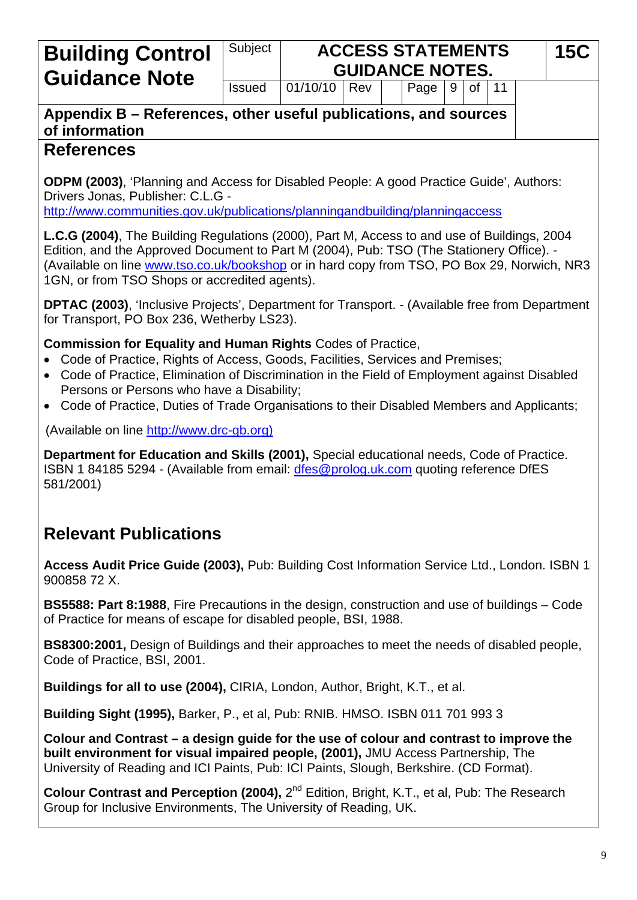## Subject **ACCESS STATEMENTS Building Control**  $\begin{vmatrix} \text{Subject} \\ \text{Gul}\end{vmatrix}$  **ACCESS STATEMENTS** 15C

## **Appendix B – References, other useful publications, and sources of information**

## **References**

**ODPM (2003)**, 'Planning and Access for Disabled People: A good Practice Guide', Authors: Drivers Jonas, Publisher: C.L.G -

<http://www.communities.gov.uk/publications/planningandbuilding/planningaccess>

**L.C.G (2004)**, The Building Regulations (2000), Part M, Access to and use of Buildings, 2004 Edition, and the Approved Document to Part M (2004), Pub: TSO (The Stationery Office). - (Available on line [www.tso.co.uk/bookshop](http://www.tso.co.uk/bookshop) or in hard copy from TSO, PO Box 29, Norwich, NR3 1GN, or from TSO Shops or accredited agents).

**DPTAC (2003)**, 'Inclusive Projects', Department for Transport. - (Available free from Department for Transport, PO Box 236, Wetherby LS23).

#### **Commission for Equality and Human Rights** Codes of Practice,

- Code of Practice, Rights of Access, Goods, Facilities, Services and Premises;
- Code of Practice, Elimination of Discrimination in the Field of Employment against Disabled Persons or Persons who have a Disability;
- Code of Practice, Duties of Trade Organisations to their Disabled Members and Applicants;

(Available on line http://www.drc-gb.[org](http://www.drc-gb.org/))

**Department for Education and Skills (2001),** Special educational needs, Code of Practice. ISBN 1 84185 5294 - (Available from email: [dfes@prolog.uk.com](mailto:dfes@prolog.uk.com) quoting reference DfES 581/2001)

# **Relevant Publications**

**Access Audit Price Guide (2003),** Pub: Building Cost Information Service Ltd., London. ISBN 1 900858 72 X.

**BS5588: Part 8:1988**, Fire Precautions in the design, construction and use of buildings – Code of Practice for means of escape for disabled people, BSI, 1988.

**BS8300:2001,** Design of Buildings and their approaches to meet the needs of disabled people, Code of Practice, BSI, 2001.

**Buildings for all to use (2004),** CIRIA, London, Author, Bright, K.T., et al.

**Building Sight (1995),** Barker, P., et al, Pub: RNIB. HMSO. ISBN 011 701 993 3

**Colour and Contrast – a design guide for the use of colour and contrast to improve the built environment for visual impaired people, (2001),** JMU Access Partnership, The University of Reading and ICI Paints, Pub: ICI Paints, Slough, Berkshire. (CD Format).

**Colour Contrast and Perception (2004),** 2<sup>nd</sup> Edition, Bright, K.T., et al, Pub: The Research Group for Inclusive Environments, The University of Reading, UK.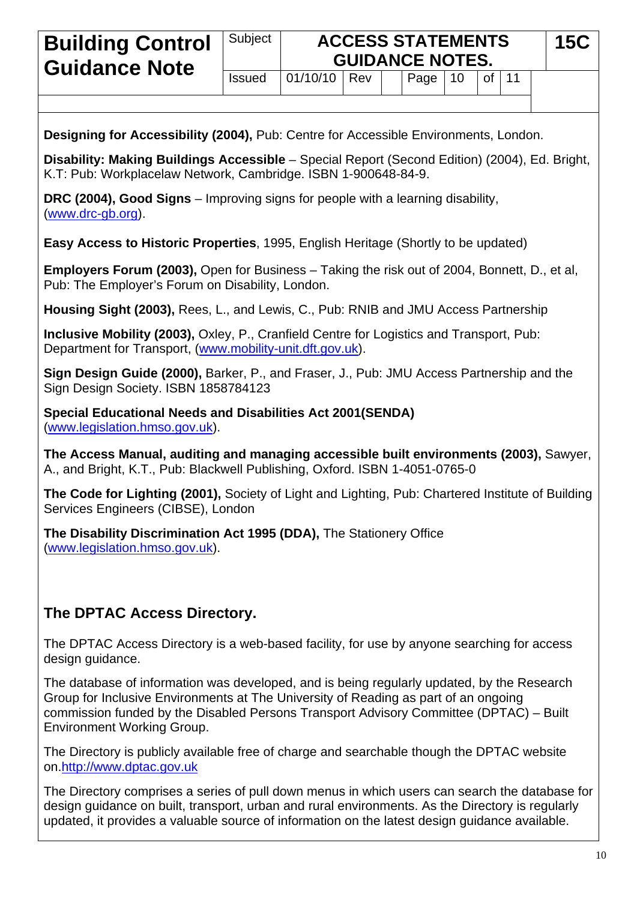| <b>Building Control</b>                                                                                                                                                                                                                                                                                          | Subject                                                                                                                                                                                                                                                                                              |          |     |  | <b>ACCESS STATEMENTS</b><br><b>GUIDANCE NOTES.</b> |    |    |    | <b>15C</b> |  |
|------------------------------------------------------------------------------------------------------------------------------------------------------------------------------------------------------------------------------------------------------------------------------------------------------------------|------------------------------------------------------------------------------------------------------------------------------------------------------------------------------------------------------------------------------------------------------------------------------------------------------|----------|-----|--|----------------------------------------------------|----|----|----|------------|--|
| <b>Guidance Note</b>                                                                                                                                                                                                                                                                                             | <b>Issued</b>                                                                                                                                                                                                                                                                                        | 01/10/10 | Rev |  | Page                                               | 10 | of | 11 |            |  |
|                                                                                                                                                                                                                                                                                                                  |                                                                                                                                                                                                                                                                                                      |          |     |  |                                                    |    |    |    |            |  |
| Designing for Accessibility (2004), Pub: Centre for Accessible Environments, London.                                                                                                                                                                                                                             |                                                                                                                                                                                                                                                                                                      |          |     |  |                                                    |    |    |    |            |  |
| Disability: Making Buildings Accessible - Special Report (Second Edition) (2004), Ed. Bright,<br>K.T: Pub: Workplacelaw Network, Cambridge. ISBN 1-900648-84-9.                                                                                                                                                  |                                                                                                                                                                                                                                                                                                      |          |     |  |                                                    |    |    |    |            |  |
| DRC (2004), Good Signs – Improving signs for people with a learning disability,<br>(www.drc-gb.org).                                                                                                                                                                                                             |                                                                                                                                                                                                                                                                                                      |          |     |  |                                                    |    |    |    |            |  |
| <b>Easy Access to Historic Properties, 1995, English Heritage (Shortly to be updated)</b>                                                                                                                                                                                                                        |                                                                                                                                                                                                                                                                                                      |          |     |  |                                                    |    |    |    |            |  |
| <b>Employers Forum (2003), Open for Business – Taking the risk out of 2004, Bonnett, D., et al,</b><br>Pub: The Employer's Forum on Disability, London.                                                                                                                                                          |                                                                                                                                                                                                                                                                                                      |          |     |  |                                                    |    |    |    |            |  |
| Housing Sight (2003), Rees, L., and Lewis, C., Pub: RNIB and JMU Access Partnership                                                                                                                                                                                                                              |                                                                                                                                                                                                                                                                                                      |          |     |  |                                                    |    |    |    |            |  |
| Inclusive Mobility (2003), Oxley, P., Cranfield Centre for Logistics and Transport, Pub:<br>Department for Transport, (www.mobility-unit.dft.gov.uk).                                                                                                                                                            |                                                                                                                                                                                                                                                                                                      |          |     |  |                                                    |    |    |    |            |  |
| Sign Design Guide (2000), Barker, P., and Fraser, J., Pub: JMU Access Partnership and the<br>Sign Design Society. ISBN 1858784123                                                                                                                                                                                |                                                                                                                                                                                                                                                                                                      |          |     |  |                                                    |    |    |    |            |  |
| <b>Special Educational Needs and Disabilities Act 2001(SENDA)</b><br>(www.legislation.hmso.gov.uk).                                                                                                                                                                                                              |                                                                                                                                                                                                                                                                                                      |          |     |  |                                                    |    |    |    |            |  |
| The Access Manual, auditing and managing accessible built environments (2003), Sawyer,<br>A., and Bright, K.T., Pub: Blackwell Publishing, Oxford. ISBN 1-4051-0765-0                                                                                                                                            |                                                                                                                                                                                                                                                                                                      |          |     |  |                                                    |    |    |    |            |  |
| The Code for Lighting (2001), Society of Light and Lighting, Pub: Chartered Institute of Building<br>Services Engineers (CIBSE), London                                                                                                                                                                          |                                                                                                                                                                                                                                                                                                      |          |     |  |                                                    |    |    |    |            |  |
| The Disability Discrimination Act 1995 (DDA), The Stationery Office<br>(www.legislation.hmso.gov.uk).                                                                                                                                                                                                            |                                                                                                                                                                                                                                                                                                      |          |     |  |                                                    |    |    |    |            |  |
|                                                                                                                                                                                                                                                                                                                  |                                                                                                                                                                                                                                                                                                      |          |     |  |                                                    |    |    |    |            |  |
| The DPTAC Access Directory.                                                                                                                                                                                                                                                                                      |                                                                                                                                                                                                                                                                                                      |          |     |  |                                                    |    |    |    |            |  |
| The DPTAC Access Directory is a web-based facility, for use by anyone searching for access<br>design guidance.                                                                                                                                                                                                   |                                                                                                                                                                                                                                                                                                      |          |     |  |                                                    |    |    |    |            |  |
| The database of information was developed, and is being regularly updated, by the Research<br>Group for Inclusive Environments at The University of Reading as part of an ongoing<br>commission funded by the Disabled Persons Transport Advisory Committee (DPTAC) - Built<br><b>Environment Working Group.</b> |                                                                                                                                                                                                                                                                                                      |          |     |  |                                                    |    |    |    |            |  |
| The Directory is publicly available free of charge and searchable though the DPTAC website<br>on.http://www.dptac.gov.uk                                                                                                                                                                                         |                                                                                                                                                                                                                                                                                                      |          |     |  |                                                    |    |    |    |            |  |
|                                                                                                                                                                                                                                                                                                                  | The Directory comprises a series of pull down menus in which users can search the database for<br>design guidance on built, transport, urban and rural environments. As the Directory is regularly<br>updated, it provides a valuable source of information on the latest design guidance available. |          |     |  |                                                    |    |    |    |            |  |